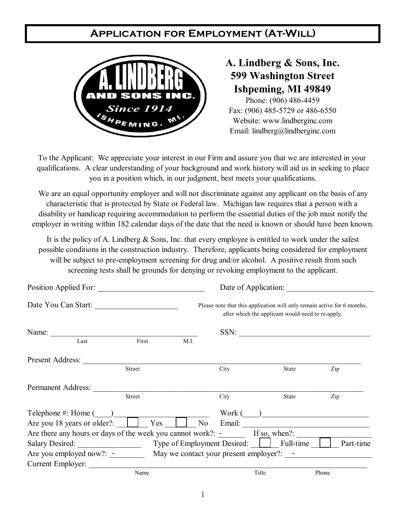# **Application for Employment (At-Will)**



# **A. Lindberg & Sons, Inc. 599 Washington Street Ishpeming, MI 49849**

Email: lindberg@lindberginc.com Phone: (906) 486-4459 Fax: (906) 485-5729 or 486-6550 Website: www.lindberginc.com

To the Applicant: We appreciate your interest in our Firm and assure you that we are interested in your qualifications. A clear understanding of your background and work history will aid us in seeking to place you in a position which, in our judgment, best meets your qualifications.

disability or handicap requiring accommodation to perform the essential duties of the job must notify the employer in writing within 182 calendar days of the date that the need is known or should have been known. We are an equal opportunity employer and will not discriminate against any applicant on the basis of any characteristic that is protected by State or Federal law. Michigan law requires that a person with a

It is the policy of A. Lindberg & Sons, Inc. that every employee is entitled to work under the safest possible conditions in the construction industry. Therefore, applicants being considered for employment will be subject to pre-employment screening for drug and/or alcohol. A positive result from such screening tests shall be grounds for denying or revoking employment to the applicant.

| Position Applied For:                                                     |               |      | Date of Application:                                                                                                         |         |                                                                                                                      |           |
|---------------------------------------------------------------------------|---------------|------|------------------------------------------------------------------------------------------------------------------------------|---------|----------------------------------------------------------------------------------------------------------------------|-----------|
| Date You Can Start:                                                       |               |      | Please note that this application will only remain active for 6 months,<br>after which the applicant would need to re-apply. |         |                                                                                                                      |           |
| Name:                                                                     |               |      | SSN:                                                                                                                         |         | <u> 1989 - Jan Stein Stein Stein Stein Stein Stein Stein Stein Stein Stein Stein Stein Stein Stein Stein Stein S</u> |           |
| Last                                                                      | First         | M.I. |                                                                                                                              |         |                                                                                                                      |           |
| Present Address:                                                          |               |      |                                                                                                                              |         |                                                                                                                      |           |
|                                                                           | <b>Street</b> |      | City                                                                                                                         |         | <b>State</b>                                                                                                         | Zip       |
| <b>Permanent Address:</b>                                                 |               |      |                                                                                                                              |         |                                                                                                                      |           |
|                                                                           | <b>Street</b> |      | City                                                                                                                         |         | <b>State</b>                                                                                                         | Zip       |
| Telephone $\#$ : Home $(\_)$                                              |               |      |                                                                                                                              | Work( ) |                                                                                                                      |           |
| Are you 18 years or older?: $\Box$                                        |               | Yes  | No<br>Email:                                                                                                                 |         |                                                                                                                      |           |
| Are there any hours or days of the week you cannot work?: - If so, when?: |               |      |                                                                                                                              |         |                                                                                                                      |           |
| Salary Desired:                                                           |               |      | Type of Employment Desired:                                                                                                  |         | Full-time                                                                                                            | Part-time |
| Are you employed now?: -                                                  |               |      | May we contact your present employer?: -                                                                                     |         |                                                                                                                      |           |
| <b>Current Employer:</b>                                                  |               |      |                                                                                                                              |         |                                                                                                                      |           |
|                                                                           | Name          |      |                                                                                                                              | Title   |                                                                                                                      | Phone     |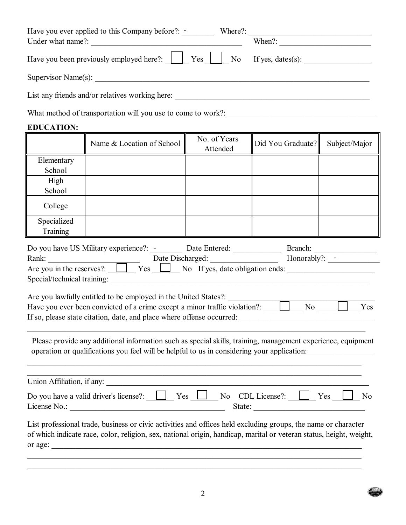| Have you been previously employed here?: $\boxed{\phantom{\cdot}}$ Yes $\boxed{\phantom{\cdot}}$ No If yes, dates(s): |                                                                                                                                                                                                                                                                                                         |                          |                   |               |
|-----------------------------------------------------------------------------------------------------------------------|---------------------------------------------------------------------------------------------------------------------------------------------------------------------------------------------------------------------------------------------------------------------------------------------------------|--------------------------|-------------------|---------------|
|                                                                                                                       |                                                                                                                                                                                                                                                                                                         |                          |                   |               |
|                                                                                                                       |                                                                                                                                                                                                                                                                                                         |                          |                   |               |
|                                                                                                                       |                                                                                                                                                                                                                                                                                                         |                          |                   |               |
| <b>EDUCATION:</b>                                                                                                     |                                                                                                                                                                                                                                                                                                         |                          |                   |               |
|                                                                                                                       | Name & Location of School                                                                                                                                                                                                                                                                               | No. of Years<br>Attended | Did You Graduate? | Subject/Major |
| Elementary<br>School                                                                                                  |                                                                                                                                                                                                                                                                                                         |                          |                   |               |
| High<br>School                                                                                                        |                                                                                                                                                                                                                                                                                                         |                          |                   |               |
| College                                                                                                               |                                                                                                                                                                                                                                                                                                         |                          |                   |               |
| Specialized<br>Training                                                                                               |                                                                                                                                                                                                                                                                                                         |                          |                   |               |
|                                                                                                                       | Rank: Date Discharged: Monorably?: - Monorably: 1999.<br>Are you in the reserves?: $\Box$ Yes $\Box$ No If yes, date obligation ends:<br>Are you lawfully entitled to be employed in the United States?:<br>Have you ever been convicted of a crime except a minor traffic violation?: $\Box$ No $\Box$ |                          |                   | Yes           |
|                                                                                                                       | Please provide any additional information such as special skills, training, management experience, equipment<br>operation or qualifications you feel will be helpful to us in considering your application:                                                                                             |                          |                   |               |
|                                                                                                                       | Union Affiliation, if any:                                                                                                                                                                                                                                                                              |                          |                   |               |
|                                                                                                                       | Do you have a valid driver's license?: 11 Yes 11 No CDL License?: 12 Yes 12 No                                                                                                                                                                                                                          |                          | State:            |               |
|                                                                                                                       | List professional trade, business or civic activities and offices held excluding groups, the name or character<br>of which indicate race, color, religion, sex, national origin, handicap, marital or veteran status, height, weight,                                                                   |                          |                   |               |
|                                                                                                                       |                                                                                                                                                                                                                                                                                                         |                          |                   |               |

 $\mathcal{L}_\mathcal{L} = \{ \mathcal{L}_\mathcal{L} = \{ \mathcal{L}_\mathcal{L} = \{ \mathcal{L}_\mathcal{L} = \{ \mathcal{L}_\mathcal{L} = \{ \mathcal{L}_\mathcal{L} = \{ \mathcal{L}_\mathcal{L} = \{ \mathcal{L}_\mathcal{L} = \{ \mathcal{L}_\mathcal{L} = \{ \mathcal{L}_\mathcal{L} = \{ \mathcal{L}_\mathcal{L} = \{ \mathcal{L}_\mathcal{L} = \{ \mathcal{L}_\mathcal{L} = \{ \mathcal{L}_\mathcal{L} = \{ \mathcal{L}_\mathcal{$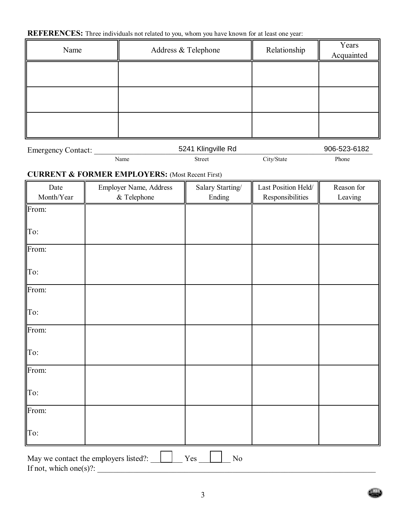## **REFERENCES:** Three individuals not related to you, whom you have known for at least one year:

| Name | Address & Telephone | Relationship | Years<br>Acquainted |
|------|---------------------|--------------|---------------------|
|      |                     |              |                     |
|      |                     |              |                     |
|      |                     |              |                     |

| <b>Emergency Contact:</b> | 5241 Klingville Rd | 906-523-6182 |
|---------------------------|--------------------|--------------|
|                           |                    |              |

#### Name Street City/State Phone

## **CURRENT & FORMER EMPLOYERS:** (Most Recent First)

| Date<br>Month/Year                                       | Employer Name, Address<br>& Telephone | Salary Starting/<br>Ending | Last Position Held/<br>Responsibilities | Reason for<br>Leaving |  |
|----------------------------------------------------------|---------------------------------------|----------------------------|-----------------------------------------|-----------------------|--|
| From:                                                    |                                       |                            |                                         |                       |  |
| To:                                                      |                                       |                            |                                         |                       |  |
| From:                                                    |                                       |                            |                                         |                       |  |
| To:                                                      |                                       |                            |                                         |                       |  |
| From:                                                    |                                       |                            |                                         |                       |  |
| To:                                                      |                                       |                            |                                         |                       |  |
| From:                                                    |                                       |                            |                                         |                       |  |
| To:                                                      |                                       |                            |                                         |                       |  |
| From:                                                    |                                       |                            |                                         |                       |  |
| To:                                                      |                                       |                            |                                         |                       |  |
| From:                                                    |                                       |                            |                                         |                       |  |
| To:                                                      |                                       |                            |                                         |                       |  |
| $\rm No$<br>May we contact the employers listed?:<br>Yes |                                       |                            |                                         |                       |  |

If not, which one $(s)$ ?:  $\qquad \qquad$